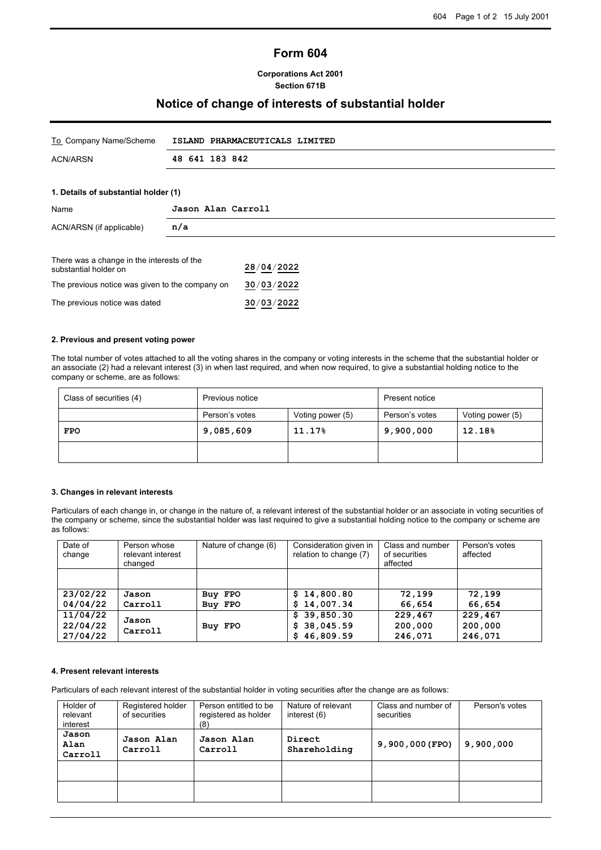# **Form 604**

### **Corporations Act 2001 Section 671B**

## **Notice of change of interests of substantial holder**

| To Company Name/Scheme               | ISLAND PHARMACEUTICALS LIMITED |
|--------------------------------------|--------------------------------|
| ACN/ARSN                             | 48 641 183 842                 |
|                                      |                                |
| 1. Details of substantial holder (1) |                                |
| Name                                 | Jason Alan Carroll             |

| There was a change in the interests of the<br>substantial holder on | 28/04/2022 |
|---------------------------------------------------------------------|------------|
| The previous notice was given to the company on                     | 30/03/2022 |
| The previous notice was dated                                       | 30/03/2022 |

#### **2. Previous and present voting power**

ACN/ARSN (if applicable) **n/a**

The total number of votes attached to all the voting shares in the company or voting interests in the scheme that the substantial holder or an associate (2) had a relevant interest (3) in when last required, and when now required, to give a substantial holding notice to the company or scheme, are as follows:

| Class of securities (4) | Previous notice |                  | Present notice |                  |
|-------------------------|-----------------|------------------|----------------|------------------|
|                         | Person's votes  | Voting power (5) | Person's votes | Voting power (5) |
| <b>FPO</b>              | 9,085,609       | 11.17%           | 9,900,000      | 12.18%           |
|                         |                 |                  |                |                  |

#### **3. Changes in relevant interests**

Particulars of each change in, or change in the nature of, a relevant interest of the substantial holder or an associate in voting securities of the company or scheme, since the substantial holder was last required to give a substantial holding notice to the company or scheme are as follows:

| Date of<br>change | Person whose<br>relevant interest<br>changed | Nature of change (6) | Consideration given in<br>relation to change (7) | Class and number<br>of securities<br>affected | Person's votes<br>affected |
|-------------------|----------------------------------------------|----------------------|--------------------------------------------------|-----------------------------------------------|----------------------------|
|                   |                                              |                      |                                                  |                                               |                            |
| 23/02/22          | Jason                                        | Buy FPO              | \$14,800.80                                      | 72,199                                        | 72,199                     |
| 04/04/22          | Carroll                                      | Buy FPO              | \$14,007.34                                      | 66,654                                        | 66,654                     |
| 11/04/22          |                                              |                      | \$39,850.30                                      | 229,467                                       | 229,467                    |
| 22/04/22          | Jason<br>Carroll                             | Buy FPO              | 38,045.59<br>S.                                  | 200,000                                       | 200,000                    |
| 27/04/22          |                                              |                      | \$46,809.59                                      | 246,071                                       | 246,071                    |

#### **4. Present relevant interests**

Particulars of each relevant interest of the substantial holder in voting securities after the change are as follows:

| Holder of<br>relevant<br>interest | Registered holder<br>of securities | Person entitled to be<br>registered as holder<br>(8) | Nature of relevant<br>interest (6) | Class and number of<br>securities | Person's votes |
|-----------------------------------|------------------------------------|------------------------------------------------------|------------------------------------|-----------------------------------|----------------|
| Jason<br>Alan<br>Carroll          | Jason Alan<br>Carroll              | Jason Alan<br>Carroll                                | Direct<br>Shareholding             | $9,900,000$ (FPO)                 | 9,900,000      |
|                                   |                                    |                                                      |                                    |                                   |                |
|                                   |                                    |                                                      |                                    |                                   |                |